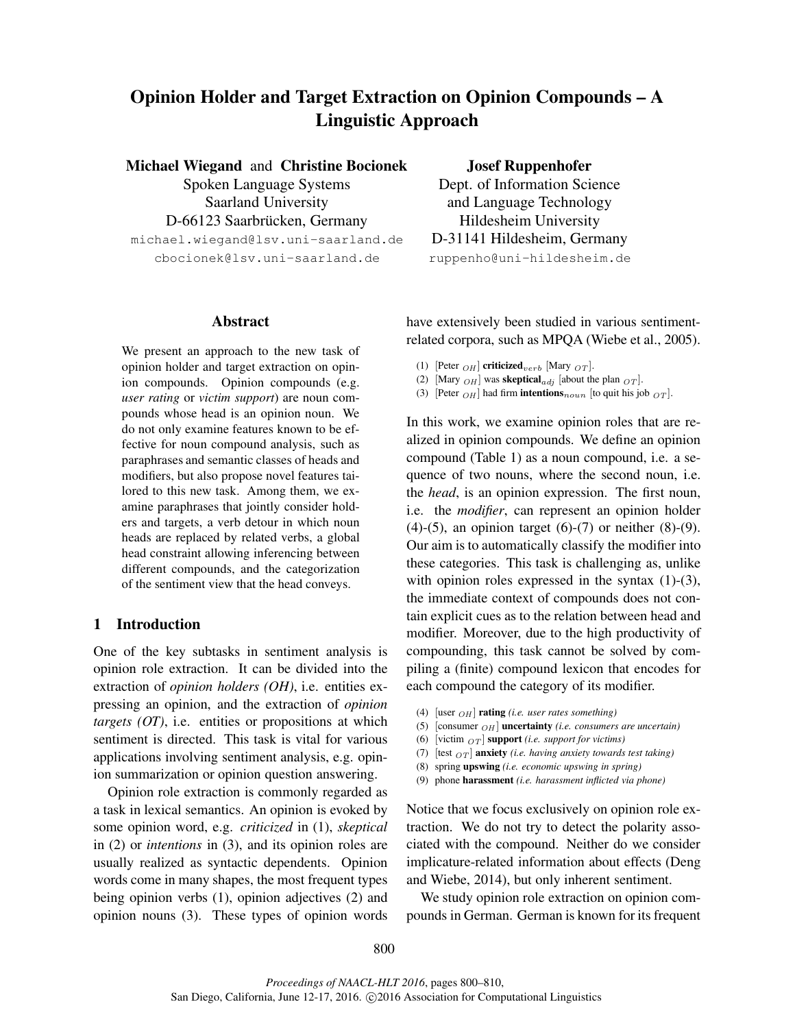# Opinion Holder and Target Extraction on Opinion Compounds – A Linguistic Approach

Michael Wiegand and Christine Bocionek Spoken Language Systems Saarland University D-66123 Saarbrücken, Germany michael.wiegand@lsv.uni-saarland.de cbocionek@lsv.uni-saarland.de

## Abstract

We present an approach to the new task of opinion holder and target extraction on opinion compounds. Opinion compounds (e.g. *user rating* or *victim support*) are noun compounds whose head is an opinion noun. We do not only examine features known to be effective for noun compound analysis, such as paraphrases and semantic classes of heads and modifiers, but also propose novel features tailored to this new task. Among them, we examine paraphrases that jointly consider holders and targets, a verb detour in which noun heads are replaced by related verbs, a global head constraint allowing inferencing between different compounds, and the categorization of the sentiment view that the head conveys.

# 1 Introduction

One of the key subtasks in sentiment analysis is opinion role extraction. It can be divided into the extraction of *opinion holders (OH)*, i.e. entities expressing an opinion, and the extraction of *opinion targets (OT)*, i.e. entities or propositions at which sentiment is directed. This task is vital for various applications involving sentiment analysis, e.g. opinion summarization or opinion question answering.

Opinion role extraction is commonly regarded as a task in lexical semantics. An opinion is evoked by some opinion word, e.g. *criticized* in (1), *skeptical* in (2) or *intentions* in (3), and its opinion roles are usually realized as syntactic dependents. Opinion words come in many shapes, the most frequent types being opinion verbs (1), opinion adjectives (2) and opinion nouns (3). These types of opinion words Josef Ruppenhofer

Dept. of Information Science and Language Technology Hildesheim University D-31141 Hildesheim, Germany ruppenho@uni-hildesheim.de

have extensively been studied in various sentimentrelated corpora, such as MPQA (Wiebe et al., 2005).

(1) [Peter  $_{OH}$ ] criticized<sub>verb</sub> [Mary  $_{OT}$ ].

- (2) [Mary  $OH$ ] was **skeptical**<sub>adj</sub> [about the plan  $OT$ ].
- (3) [Peter  $_{OH}$ ] had firm **intentions** $_{noun}$  [to quit his job  $_{OT}$ ].

In this work, we examine opinion roles that are realized in opinion compounds. We define an opinion compound (Table 1) as a noun compound, i.e. a sequence of two nouns, where the second noun, i.e. the *head*, is an opinion expression. The first noun, i.e. the *modifier*, can represent an opinion holder (4)-(5), an opinion target (6)-(7) or neither  $(8)$ - $(9)$ . Our aim is to automatically classify the modifier into these categories. This task is challenging as, unlike with opinion roles expressed in the syntax (1)-(3), the immediate context of compounds does not contain explicit cues as to the relation between head and modifier. Moreover, due to the high productivity of compounding, this task cannot be solved by compiling a (finite) compound lexicon that encodes for each compound the category of its modifier.

- (4)  $[\text{user }_{OH}]$  **rating** *(i.e. user rates something)*
- (5) [consumer  $_{OH}$ ] **uncertainty** *(i.e. consumers are uncertain)*
- (6) [victim  $_{OT}$ ] **support** *(i.e. support for victims)*
- (7)  $[test_{OT}]$  **anxiety** *(i.e. having anxiety towards test taking)*
- (8) spring upswing *(i.e. economic upswing in spring)*
- (9) phone harassment *(i.e. harassment inflicted via phone)*

Notice that we focus exclusively on opinion role extraction. We do not try to detect the polarity associated with the compound. Neither do we consider implicature-related information about effects (Deng and Wiebe, 2014), but only inherent sentiment.

We study opinion role extraction on opinion compounds in German. German is known for its frequent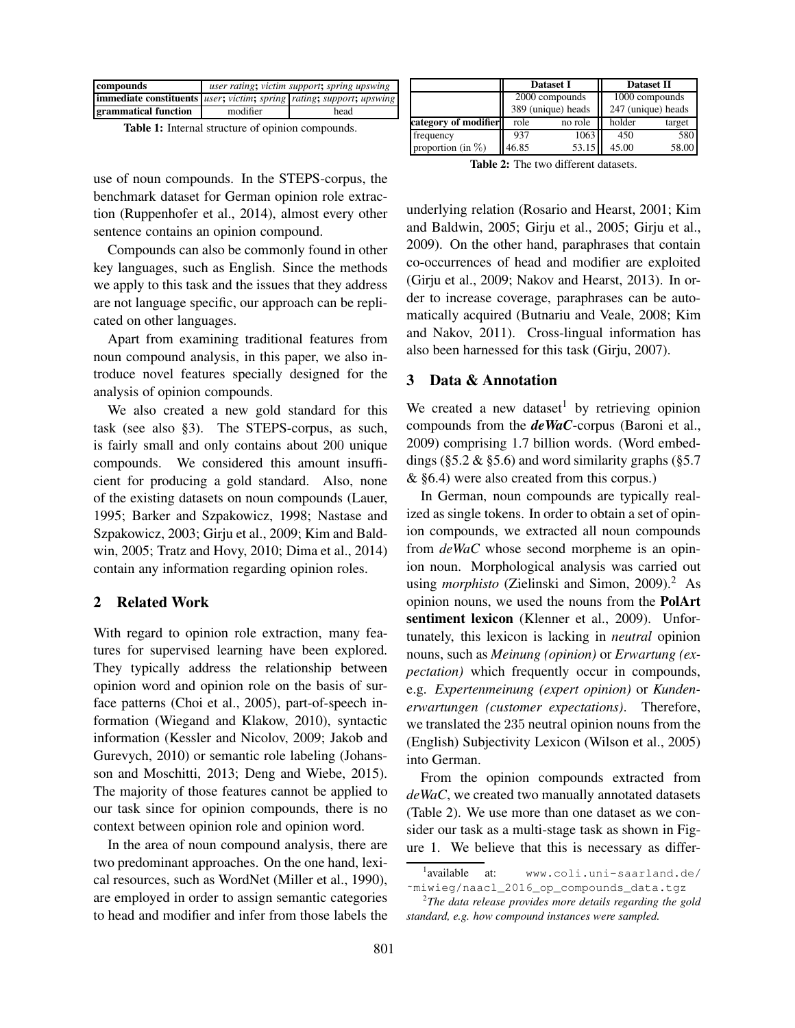| compounds                                                                                                          | user rating; victim support; spring upswing |      |  |  |  |  |
|--------------------------------------------------------------------------------------------------------------------|---------------------------------------------|------|--|--|--|--|
| <b>immediate constituents</b> <i>user</i> ; <i>victim</i> ; <i>spring rating</i> ; <i>support</i> ; <i>upswing</i> |                                             |      |  |  |  |  |
| grammatical function                                                                                               | modifier                                    | head |  |  |  |  |

Table 1: Internal structure of opinion compounds.

use of noun compounds. In the STEPS-corpus, the benchmark dataset for German opinion role extraction (Ruppenhofer et al., 2014), almost every other sentence contains an opinion compound.

Compounds can also be commonly found in other key languages, such as English. Since the methods we apply to this task and the issues that they address are not language specific, our approach can be replicated on other languages.

Apart from examining traditional features from noun compound analysis, in this paper, we also introduce novel features specially designed for the analysis of opinion compounds.

We also created a new gold standard for this task (see also §3). The STEPS-corpus, as such, is fairly small and only contains about 200 unique compounds. We considered this amount insufficient for producing a gold standard. Also, none of the existing datasets on noun compounds (Lauer, 1995; Barker and Szpakowicz, 1998; Nastase and Szpakowicz, 2003; Girju et al., 2009; Kim and Baldwin, 2005; Tratz and Hovy, 2010; Dima et al., 2014) contain any information regarding opinion roles.

## 2 Related Work

With regard to opinion role extraction, many features for supervised learning have been explored. They typically address the relationship between opinion word and opinion role on the basis of surface patterns (Choi et al., 2005), part-of-speech information (Wiegand and Klakow, 2010), syntactic information (Kessler and Nicolov, 2009; Jakob and Gurevych, 2010) or semantic role labeling (Johansson and Moschitti, 2013; Deng and Wiebe, 2015). The majority of those features cannot be applied to our task since for opinion compounds, there is no context between opinion role and opinion word.

In the area of noun compound analysis, there are two predominant approaches. On the one hand, lexical resources, such as WordNet (Miller et al., 1990), are employed in order to assign semantic categories to head and modifier and infer from those labels the

|                      |       | <b>Dataset I</b>   | <b>Dataset II</b>  |        |  |
|----------------------|-------|--------------------|--------------------|--------|--|
|                      |       | 2000 compounds     | 1000 compounds     |        |  |
|                      |       | 389 (unique) heads | 247 (unique) heads |        |  |
| category of modifier | role  | no role            | holder             | target |  |
| frequency            | 937   | 1063               | 450                | 580    |  |
| proportion (in $%$ ) | 46.85 | 53.15              | 45.00              | 58.00  |  |

Table 2: The two different datasets.

underlying relation (Rosario and Hearst, 2001; Kim and Baldwin, 2005; Girju et al., 2005; Girju et al., 2009). On the other hand, paraphrases that contain co-occurrences of head and modifier are exploited (Girju et al., 2009; Nakov and Hearst, 2013). In order to increase coverage, paraphrases can be automatically acquired (Butnariu and Veale, 2008; Kim and Nakov, 2011). Cross-lingual information has also been harnessed for this task (Girju, 2007).

#### 3 Data & Annotation

We created a new dataset by retrieving opinion compounds from the *deWaC*-corpus (Baroni et al., 2009) comprising 1.7 billion words. (Word embeddings ( $\S 5.2 \& \S 5.6$ ) and word similarity graphs ( $\S 5.7$ & §6.4) were also created from this corpus.)

In German, noun compounds are typically realized as single tokens. In order to obtain a set of opinion compounds, we extracted all noun compounds from *deWaC* whose second morpheme is an opinion noun. Morphological analysis was carried out using *morphisto* (Zielinski and Simon, 2009).<sup>2</sup> As opinion nouns, we used the nouns from the PolArt sentiment lexicon (Klenner et al., 2009). Unfortunately, this lexicon is lacking in *neutral* opinion nouns, such as *Meinung (opinion)* or *Erwartung (expectation)* which frequently occur in compounds, e.g. *Expertenmeinung (expert opinion)* or *Kundenerwartungen (customer expectations)*. Therefore, we translated the 235 neutral opinion nouns from the (English) Subjectivity Lexicon (Wilson et al., 2005) into German.

From the opinion compounds extracted from *deWaC*, we created two manually annotated datasets (Table 2). We use more than one dataset as we consider our task as a multi-stage task as shown in Figure 1. We believe that this is necessary as differ-

<sup>&</sup>lt;sup>1</sup>available at: www.coli.uni-saarland.de/ ~miwieg/naacl 2016 op compounds data.tgz

<sup>2</sup> *The data release provides more details regarding the gold standard, e.g. how compound instances were sampled.*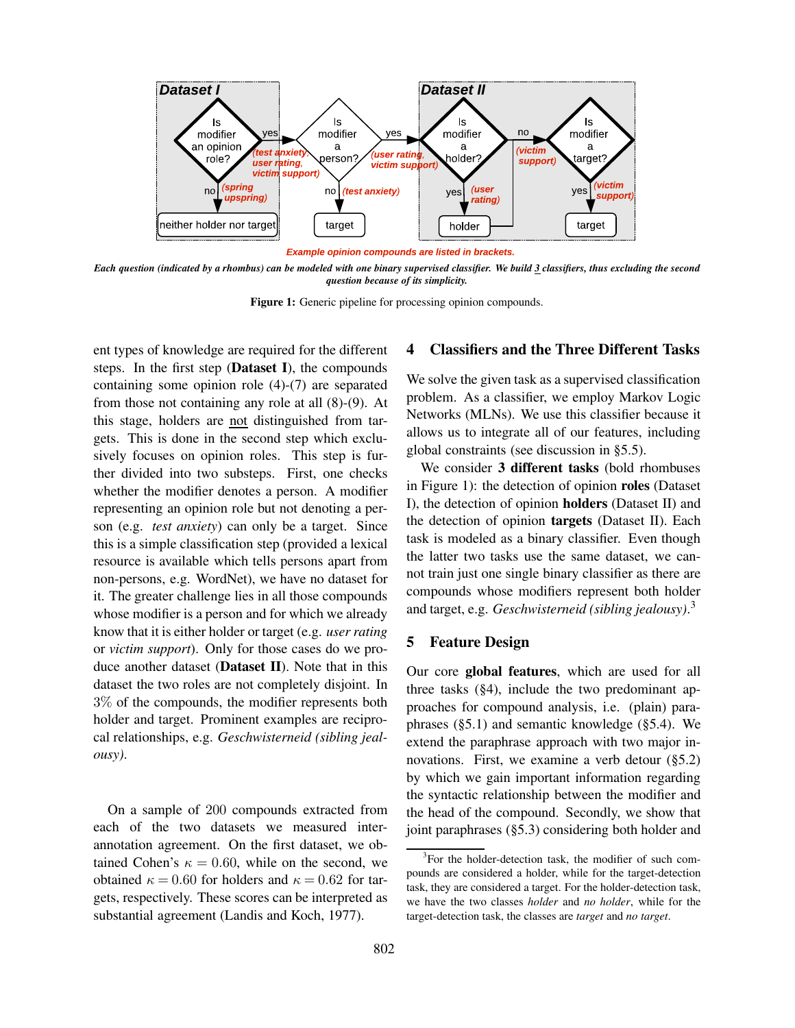

Example opinion compounds are listed in brackets.

*Each question (indicated by a rhombus) can be modeled with one binary supervised classifier. We build 3 classifiers, thus excluding the second question because of its simplicity.*

Figure 1: Generic pipeline for processing opinion compounds.

ent types of knowledge are required for the different steps. In the first step (Dataset I), the compounds containing some opinion role (4)-(7) are separated from those not containing any role at all (8)-(9). At this stage, holders are not distinguished from targets. This is done in the second step which exclusively focuses on opinion roles. This step is further divided into two substeps. First, one checks whether the modifier denotes a person. A modifier representing an opinion role but not denoting a person (e.g. *test anxiety*) can only be a target. Since this is a simple classification step (provided a lexical resource is available which tells persons apart from non-persons, e.g. WordNet), we have no dataset for it. The greater challenge lies in all those compounds whose modifier is a person and for which we already know that it is either holder or target (e.g. *user rating* or *victim support*). Only for those cases do we produce another dataset (Dataset II). Note that in this dataset the two roles are not completely disjoint. In 3% of the compounds, the modifier represents both holder and target. Prominent examples are reciprocal relationships, e.g. *Geschwisterneid (sibling jealousy)*.

On a sample of 200 compounds extracted from each of the two datasets we measured interannotation agreement. On the first dataset, we obtained Cohen's  $\kappa = 0.60$ , while on the second, we obtained  $\kappa = 0.60$  for holders and  $\kappa = 0.62$  for targets, respectively. These scores can be interpreted as substantial agreement (Landis and Koch, 1977).

# 4 Classifiers and the Three Different Tasks

We solve the given task as a supervised classification problem. As a classifier, we employ Markov Logic Networks (MLNs). We use this classifier because it allows us to integrate all of our features, including global constraints (see discussion in §5.5).

We consider 3 different tasks (bold rhombuses in Figure 1): the detection of opinion roles (Dataset I), the detection of opinion holders (Dataset II) and the detection of opinion targets (Dataset II). Each task is modeled as a binary classifier. Even though the latter two tasks use the same dataset, we cannot train just one single binary classifier as there are compounds whose modifiers represent both holder and target, e.g. *Geschwisterneid (sibling jealousy)*. 3

### 5 Feature Design

Our core global features, which are used for all three tasks (§4), include the two predominant approaches for compound analysis, i.e. (plain) paraphrases (§5.1) and semantic knowledge (§5.4). We extend the paraphrase approach with two major innovations. First, we examine a verb detour (§5.2) by which we gain important information regarding the syntactic relationship between the modifier and the head of the compound. Secondly, we show that joint paraphrases (§5.3) considering both holder and

<sup>&</sup>lt;sup>3</sup>For the holder-detection task, the modifier of such compounds are considered a holder, while for the target-detection task, they are considered a target. For the holder-detection task, we have the two classes *holder* and *no holder*, while for the target-detection task, the classes are *target* and *no target*.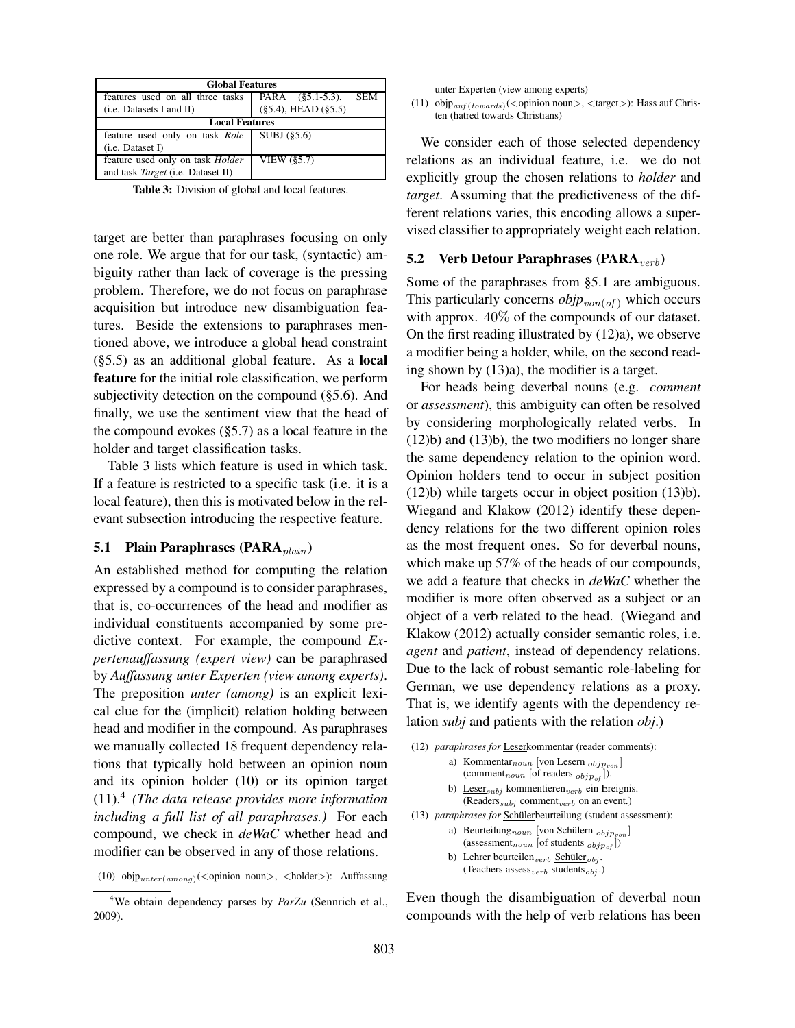| <b>Global Features</b>                   |                                |  |  |  |  |  |
|------------------------------------------|--------------------------------|--|--|--|--|--|
| features used on all three tasks         | PARA (§5.1-5.3),<br><b>SEM</b> |  |  |  |  |  |
| (i.e. Datasets I and II)                 | $(\$5.4)$ , HEAD $(\$5.5)$     |  |  |  |  |  |
| <b>Local Features</b>                    |                                |  |  |  |  |  |
| feature used only on task Role           | SUBJ $(85.6)$                  |  |  |  |  |  |
| $(i.e.$ Dataset I)                       |                                |  |  |  |  |  |
| feature used only on task <i>Holder</i>  | VIEW $(\$5.7)$                 |  |  |  |  |  |
| and task <i>Target</i> (i.e. Dataset II) |                                |  |  |  |  |  |

Table 3: Division of global and local features.

target are better than paraphrases focusing on only one role. We argue that for our task, (syntactic) ambiguity rather than lack of coverage is the pressing problem. Therefore, we do not focus on paraphrase acquisition but introduce new disambiguation features. Beside the extensions to paraphrases mentioned above, we introduce a global head constraint (§5.5) as an additional global feature. As a local feature for the initial role classification, we perform subjectivity detection on the compound (§5.6). And finally, we use the sentiment view that the head of the compound evokes (§5.7) as a local feature in the holder and target classification tasks.

Table 3 lists which feature is used in which task. If a feature is restricted to a specific task (i.e. it is a local feature), then this is motivated below in the relevant subsection introducing the respective feature.

#### 5.1 Plain Paraphrases (PARA $_{plain}$ )

An established method for computing the relation expressed by a compound is to consider paraphrases, that is, co-occurrences of the head and modifier as individual constituents accompanied by some predictive context. For example, the compound *Expertenauffassung (expert view)* can be paraphrased by *Auffassung unter Experten (view among experts)*. The preposition *unter (among)* is an explicit lexical clue for the (implicit) relation holding between head and modifier in the compound. As paraphrases we manually collected 18 frequent dependency relations that typically hold between an opinion noun and its opinion holder (10) or its opinion target (11).<sup>4</sup> *(The data release provides more information including a full list of all paraphrases.)* For each compound, we check in *deWaC* whether head and modifier can be observed in any of those relations.

unter Experten (view among experts)

(11) objp $_{\textit{auf(towards)}}$ (<opinion noun>, <target>): Hass auf Christen (hatred towards Christians)

We consider each of those selected dependency relations as an individual feature, i.e. we do not explicitly group the chosen relations to *holder* and *target*. Assuming that the predictiveness of the different relations varies, this encoding allows a supervised classifier to appropriately weight each relation.

#### 5.2 Verb Detour Paraphrases (PARA $_{verb}$ )

Some of the paraphrases from §5.1 are ambiguous. This particularly concerns  $objp_{von(of)}$  which occurs with approx. 40% of the compounds of our dataset. On the first reading illustrated by (12)a), we observe a modifier being a holder, while, on the second reading shown by (13)a), the modifier is a target.

For heads being deverbal nouns (e.g. *comment* or *assessment*), this ambiguity can often be resolved by considering morphologically related verbs. In (12)b) and (13)b), the two modifiers no longer share the same dependency relation to the opinion word. Opinion holders tend to occur in subject position (12)b) while targets occur in object position (13)b). Wiegand and Klakow (2012) identify these dependency relations for the two different opinion roles as the most frequent ones. So for deverbal nouns, which make up 57% of the heads of our compounds, we add a feature that checks in *deWaC* whether the modifier is more often observed as a subject or an object of a verb related to the head. (Wiegand and Klakow (2012) actually consider semantic roles, i.e. *agent* and *patient*, instead of dependency relations. Due to the lack of robust semantic role-labeling for German, we use dependency relations as a proxy. That is, we identify agents with the dependency relation *subj* and patients with the relation *obj*.)

| (12) <i>paraphrases for</i> Leserkommentar (reader comments):                                                                                |
|----------------------------------------------------------------------------------------------------------------------------------------------|
| a) Kommentar <sub>noun</sub> [von Lesern $_{objp_{non}}$ ]<br>(comment <sub>noun</sub> [of readers $_{objp_{of}}$ ]).                        |
| b) Leser <sub>subj</sub> kommentieren <sub>verb</sub> ein Ereignis.<br>(Readers <sub><i>subj</i></sub> comment <sub>verb</sub> on an event.) |
| (13) <i>paraphrases for</i> Schülerbeurteilung (student assessment):                                                                         |
| a) Beurteilung noun [von Schülern $_{objp_{von}}$ ]<br>(assessment <sub>noun</sub> [of students $_{objp_{of}}$ ])                            |
| b) Lehrer beurteilen $_{verb}$ Schüler <sub>obj</sub> .<br>(Teachers assess <sub>verb</sub> students <sub>obj</sub> .)                       |

Even though the disambiguation of deverbal noun compounds with the help of verb relations has been

<sup>(10)</sup> objp $_{unter(among)}$ (<opinion noun>, <holder>): Auffassung

<sup>&</sup>lt;sup>4</sup>We obtain dependency parses by *ParZu* (Sennrich et al., 2009).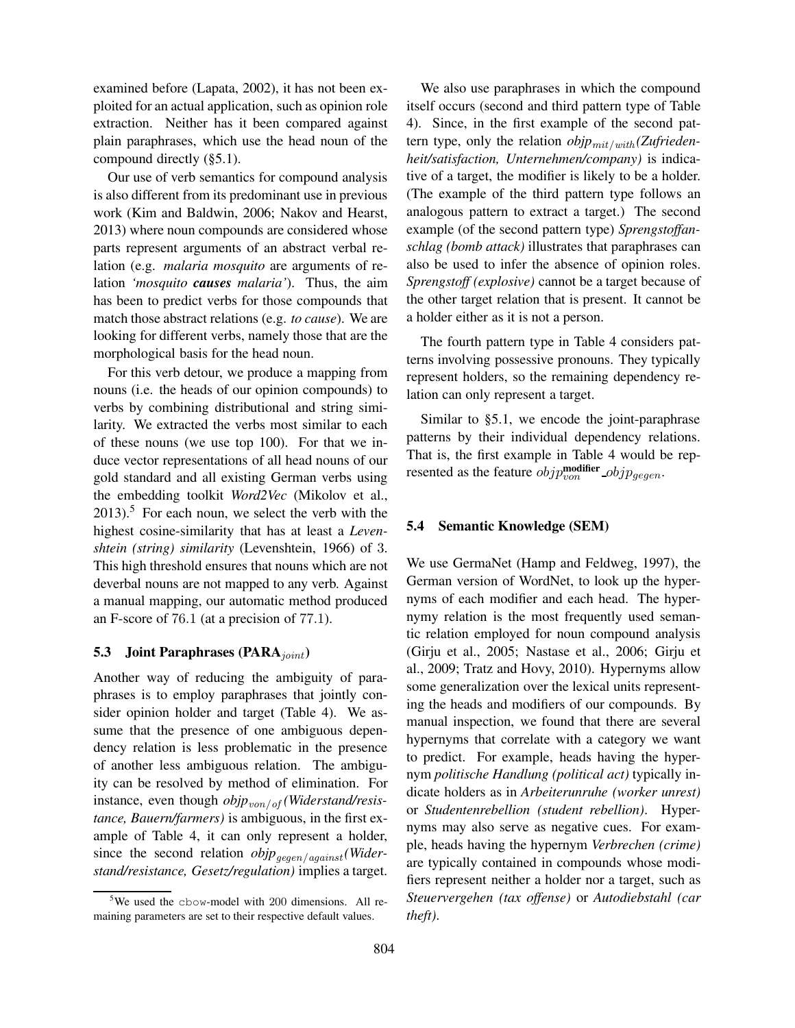examined before (Lapata, 2002), it has not been exploited for an actual application, such as opinion role extraction. Neither has it been compared against plain paraphrases, which use the head noun of the compound directly (§5.1).

Our use of verb semantics for compound analysis is also different from its predominant use in previous work (Kim and Baldwin, 2006; Nakov and Hearst, 2013) where noun compounds are considered whose parts represent arguments of an abstract verbal relation (e.g. *malaria mosquito* are arguments of relation *'mosquito causes malaria'*). Thus, the aim has been to predict verbs for those compounds that match those abstract relations (e.g. *to cause*). We are looking for different verbs, namely those that are the morphological basis for the head noun.

For this verb detour, we produce a mapping from nouns (i.e. the heads of our opinion compounds) to verbs by combining distributional and string similarity. We extracted the verbs most similar to each of these nouns (we use top 100). For that we induce vector representations of all head nouns of our gold standard and all existing German verbs using the embedding toolkit *Word2Vec* (Mikolov et al.,  $2013$ .<sup>5</sup> For each noun, we select the verb with the highest cosine-similarity that has at least a *Levenshtein (string) similarity* (Levenshtein, 1966) of 3. This high threshold ensures that nouns which are not deverbal nouns are not mapped to any verb. Against a manual mapping, our automatic method produced an F-score of 76.1 (at a precision of 77.1).

## 5.3 Joint Paraphrases ( $\text{PARA}_{joint}$ )

Another way of reducing the ambiguity of paraphrases is to employ paraphrases that jointly consider opinion holder and target (Table 4). We assume that the presence of one ambiguous dependency relation is less problematic in the presence of another less ambiguous relation. The ambiguity can be resolved by method of elimination. For instance, even though *objp*<sub>von/of</sub> (Widerstand/resis*tance, Bauern/farmers)* is ambiguous, in the first example of Table 4, it can only represent a holder, since the second relation  $objp_{qeqen/aqaint}$  *(Widerstand/resistance, Gesetz/regulation)* implies a target.

We also use paraphrases in which the compound itself occurs (second and third pattern type of Table 4). Since, in the first example of the second pattern type, only the relation  $objp_{mit/with}$  *(Zufriedenheit/satisfaction, Unternehmen/company)* is indicative of a target, the modifier is likely to be a holder. (The example of the third pattern type follows an analogous pattern to extract a target.) The second example (of the second pattern type) *Sprengstoffanschlag (bomb attack)* illustrates that paraphrases can also be used to infer the absence of opinion roles. *Sprengstoff (explosive)* cannot be a target because of the other target relation that is present. It cannot be a holder either as it is not a person.

The fourth pattern type in Table 4 considers patterns involving possessive pronouns. They typically represent holders, so the remaining dependency relation can only represent a target.

Similar to §5.1, we encode the joint-paraphrase patterns by their individual dependency relations. That is, the first example in Table 4 would be represented as the feature  $objp_{von}^{\text{modifier}}$   $objp_{gegen}$ .

### 5.4 Semantic Knowledge (SEM)

We use GermaNet (Hamp and Feldweg, 1997), the German version of WordNet, to look up the hypernyms of each modifier and each head. The hypernymy relation is the most frequently used semantic relation employed for noun compound analysis (Girju et al., 2005; Nastase et al., 2006; Girju et al., 2009; Tratz and Hovy, 2010). Hypernyms allow some generalization over the lexical units representing the heads and modifiers of our compounds. By manual inspection, we found that there are several hypernyms that correlate with a category we want to predict. For example, heads having the hypernym *politische Handlung (political act)* typically indicate holders as in *Arbeiterunruhe (worker unrest)* or *Studentenrebellion (student rebellion)*. Hypernyms may also serve as negative cues. For example, heads having the hypernym *Verbrechen (crime)* are typically contained in compounds whose modifiers represent neither a holder nor a target, such as *Steuervergehen (tax offense)* or *Autodiebstahl (car theft)*.

<sup>&</sup>lt;sup>5</sup>We used the cbow-model with 200 dimensions. All remaining parameters are set to their respective default values.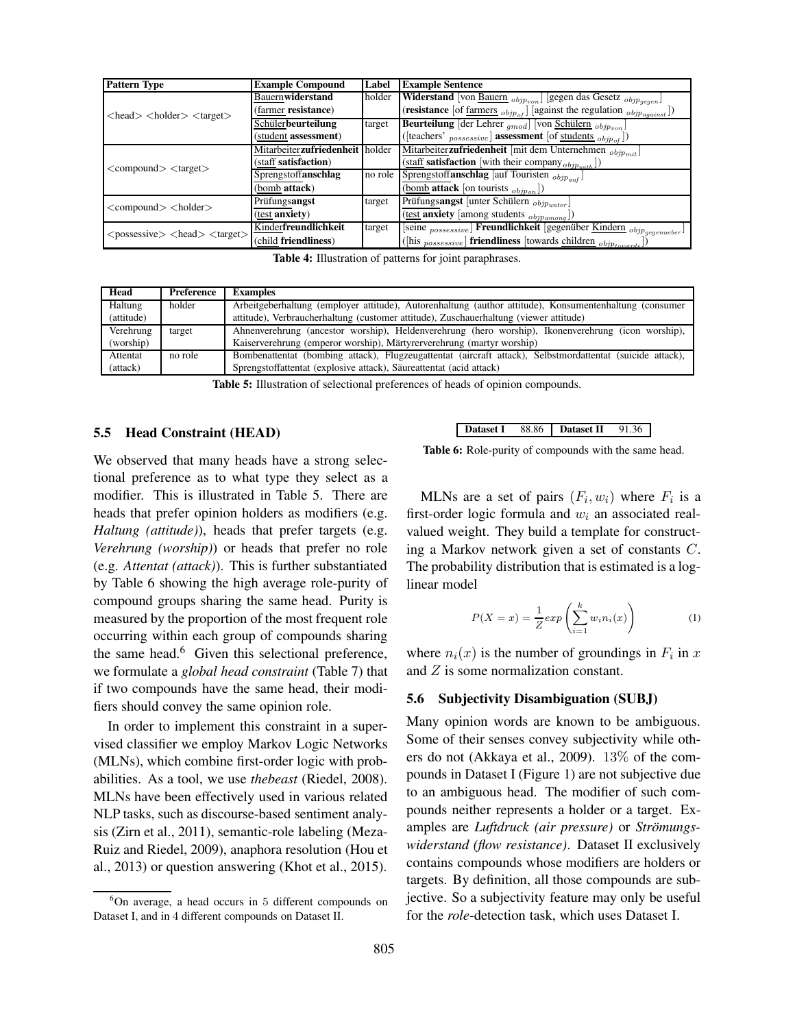| <b>Pattern Type</b>                                                  | <b>Example Compound</b>         | Label  | <b>Example Sentence</b>                                                                       |
|----------------------------------------------------------------------|---------------------------------|--------|-----------------------------------------------------------------------------------------------|
|                                                                      | Bauernwiderstand                | holder | <b>Widerstand</b> [von Bauern $_{objp_{von}}$ ] [gegen das Gesetz $_{objp_{gegen}}$ ]         |
| $\langle head \rangle \langle holder \rangle \langle target \rangle$ | (farmer resistance)             |        | (resistance [of farmers $_{objp_{of}}$ ] [against the regulation $_{objp_{against}}$ ])       |
|                                                                      | Schülerbeurteilung              | target | <b>Beurteilung</b> [der Lehrer $_{qmod}$ ] [von Schülern $_{objp_{von}}$ ]                    |
|                                                                      | (student assessment)            |        | ([teachers' $_{possessive}$ ] assessment [of students $_{objpof}$ ])                          |
|                                                                      | Mitarbeiterzufriedenheit holder |        | Mitarbeiterzufriedenheit [mit dem Unternehmen $_{\textit{objp}_{\textit{mit}}}$ ]             |
| $\langle\text{compound}\rangle$ $\langle\text{target}\rangle$        | (staff satisfaction)            |        | $\overline{\text{(stat}}}$ satisfaction [with their company $_{\text{objp}_{\text{with}}}$ ]) |
|                                                                      | Sprengstoffanschlag             |        | no role Sprengstoff <b>anschlag</b> [auf Touristen $_{\textit{objp}}$ ]                       |
|                                                                      | (bomb attack)                   |        | (bomb attack [on tourists $_{objp_{on}}$ ])                                                   |
| $\langle \text{compound} \rangle$ $\langle \text{holder} \rangle$    | Prüfungsangst                   | target | Prüfungsangst [unter Schülern objpunter]                                                      |
|                                                                      | (test anxiety)                  |        | $(\underbrace{\text{test}}$ anxiety [among students $_{objpamong}$ ])                         |
| $<$ possessive $>$ $<$ head $>$ $<$ target $>$                       | Kinderfreundlichkeit            | target | [seine $_{possessive}$ ] Freundlichkeit [gegenüber Kindern $_{objp_{gegenveber}}$ ]           |
|                                                                      | (child friendliness)            |        | ([his $_{possessive}$ ] friendliness [towards children $_{objp_{towards}}$ ])                 |

Table 4: Illustration of patterns for joint paraphrases.

| Head       | Preference | <b>Examples</b>                                                                                           |
|------------|------------|-----------------------------------------------------------------------------------------------------------|
| Haltung    | holder     | Arbeitgeberhaltung (employer attitude), Autorenhaltung (author attitude), Konsumentenhaltung (consumer    |
| (attitude) |            | attitude), Verbraucherhaltung (customer attitude), Zuschauerhaltung (viewer attitude)                     |
| Verehrung  | target     | Ahnenverehrung (ancestor worship), Heldenverehrung (hero worship), Ikonenverehrung (icon worship),        |
| (worship)  |            | Kaiserverehrung (emperor worship), Märtyrerverehrung (martyr worship)                                     |
| Attentat   | no role    | Bombenattentat (bombing attack), Flugzeugattentat (aircraft attack), Selbstmordattentat (suicide attack), |
| (attack)   |            | Sprengstoffattentat (explosive attack), Säureattentat (acid attack)                                       |

Table 5: Illustration of selectional preferences of heads of opinion compounds.

#### 5.5 Head Constraint (HEAD)

We observed that many heads have a strong selectional preference as to what type they select as a modifier. This is illustrated in Table 5. There are heads that prefer opinion holders as modifiers (e.g. *Haltung (attitude)*), heads that prefer targets (e.g. *Verehrung (worship)*) or heads that prefer no role (e.g. *Attentat (attack)*). This is further substantiated by Table 6 showing the high average role-purity of compound groups sharing the same head. Purity is measured by the proportion of the most frequent role occurring within each group of compounds sharing the same head.<sup>6</sup> Given this selectional preference, we formulate a *global head constraint* (Table 7) that if two compounds have the same head, their modifiers should convey the same opinion role.

In order to implement this constraint in a supervised classifier we employ Markov Logic Networks (MLNs), which combine first-order logic with probabilities. As a tool, we use *thebeast* (Riedel, 2008). MLNs have been effectively used in various related NLP tasks, such as discourse-based sentiment analysis (Zirn et al., 2011), semantic-role labeling (Meza-Ruiz and Riedel, 2009), anaphora resolution (Hou et al., 2013) or question answering (Khot et al., 2015).

Dataset I 88.86 Dataset II 91.36

Table 6: Role-purity of compounds with the same head.

MLNs are a set of pairs  $(F_i, w_i)$  where  $F_i$  is a first-order logic formula and  $w_i$  an associated realvalued weight. They build a template for constructing a Markov network given a set of constants C. The probability distribution that is estimated is a loglinear model

$$
P(X = x) = \frac{1}{Z} exp\left(\sum_{i=1}^{k} w_i n_i(x)\right)
$$
 (1)

where  $n_i(x)$  is the number of groundings in  $F_i$  in x and Z is some normalization constant.

#### 5.6 Subjectivity Disambiguation (SUBJ)

Many opinion words are known to be ambiguous. Some of their senses convey subjectivity while others do not (Akkaya et al., 2009). 13% of the compounds in Dataset I (Figure 1) are not subjective due to an ambiguous head. The modifier of such compounds neither represents a holder or a target. Examples are *Luftdruck* (air pressure) or *Strömungswiderstand (flow resistance)*. Dataset II exclusively contains compounds whose modifiers are holders or targets. By definition, all those compounds are subjective. So a subjectivity feature may only be useful for the *role*-detection task, which uses Dataset I.

 $6$ On average, a head occurs in 5 different compounds on Dataset I, and in 4 different compounds on Dataset II.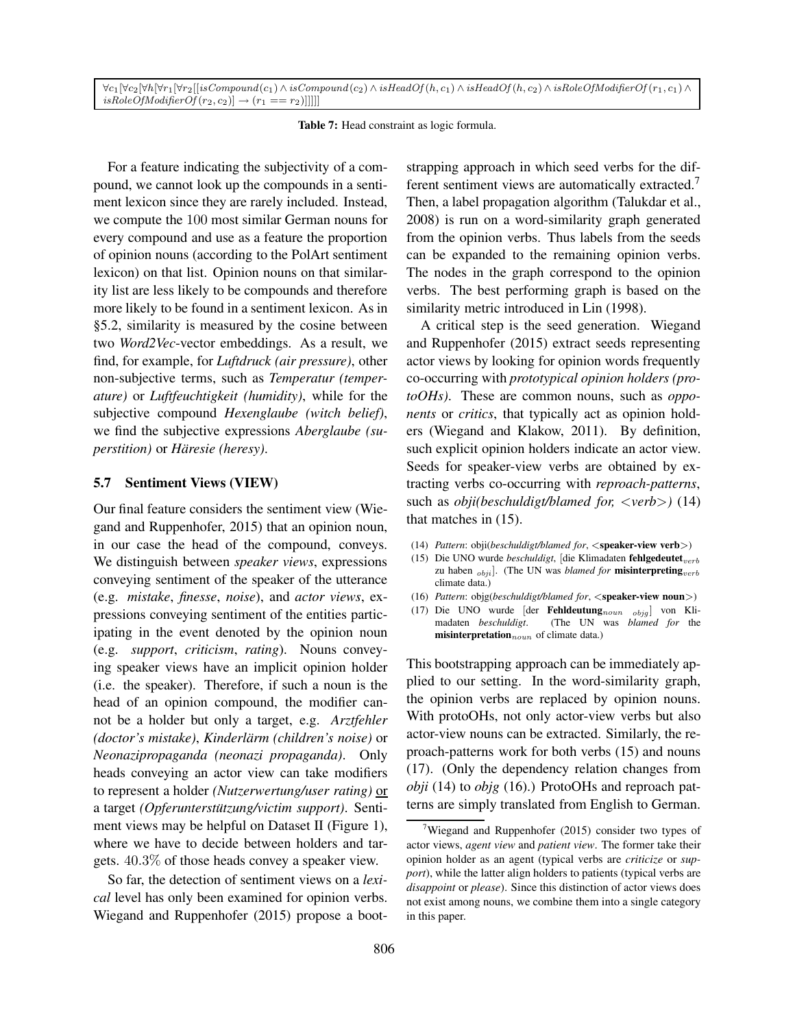$\forall c_1[\forall c_2[\forall h[\forall r_1[\forall r_2][isComponnd(c_1) \wedge isComponnd(c_2) \wedge isHeadOf(h, c_1) \wedge isHeadOf(h, c_2) \wedge isRoleOfModifierOf(r_1, c_1) \wedge isRce{eq:1}$  $isRoleOfModifierOf(r_2, c_2)] \rightarrow (r_1 == r_2)]]]]]$ 

Table 7: Head constraint as logic formula.

For a feature indicating the subjectivity of a compound, we cannot look up the compounds in a sentiment lexicon since they are rarely included. Instead, we compute the 100 most similar German nouns for every compound and use as a feature the proportion of opinion nouns (according to the PolArt sentiment lexicon) on that list. Opinion nouns on that similarity list are less likely to be compounds and therefore more likely to be found in a sentiment lexicon. As in §5.2, similarity is measured by the cosine between two *Word2Vec*-vector embeddings. As a result, we find, for example, for *Luftdruck (air pressure)*, other non-subjective terms, such as *Temperatur (temperature)* or *Luftfeuchtigkeit (humidity)*, while for the subjective compound *Hexenglaube (witch belief)*, we find the subjective expressions *Aberglaube (superstition*) or *Häresie* (heresy).

#### 5.7 Sentiment Views (VIEW)

Our final feature considers the sentiment view (Wiegand and Ruppenhofer, 2015) that an opinion noun, in our case the head of the compound, conveys. We distinguish between *speaker views*, expressions conveying sentiment of the speaker of the utterance (e.g. *mistake*, *finesse*, *noise*), and *actor views*, expressions conveying sentiment of the entities participating in the event denoted by the opinion noun (e.g. *support*, *criticism*, *rating*). Nouns conveying speaker views have an implicit opinion holder (i.e. the speaker). Therefore, if such a noun is the head of an opinion compound, the modifier cannot be a holder but only a target, e.g. *Arztfehler (doctor's mistake), Kinderlärm (children's noise)* or *Neonazipropaganda (neonazi propaganda)*. Only heads conveying an actor view can take modifiers to represent a holder *(Nutzerwertung/user rating)* or a target *(Opferunterstutzung/victim support) ¨* . Sentiment views may be helpful on Dataset II (Figure 1), where we have to decide between holders and targets. 40.3% of those heads convey a speaker view.

So far, the detection of sentiment views on a *lexical* level has only been examined for opinion verbs. Wiegand and Ruppenhofer (2015) propose a bootstrapping approach in which seed verbs for the different sentiment views are automatically extracted.<sup>7</sup> Then, a label propagation algorithm (Talukdar et al., 2008) is run on a word-similarity graph generated from the opinion verbs. Thus labels from the seeds can be expanded to the remaining opinion verbs. The nodes in the graph correspond to the opinion verbs. The best performing graph is based on the similarity metric introduced in Lin (1998).

A critical step is the seed generation. Wiegand and Ruppenhofer (2015) extract seeds representing actor views by looking for opinion words frequently co-occurring with *prototypical opinion holders (protoOHs)*. These are common nouns, such as *opponents* or *critics*, that typically act as opinion holders (Wiegand and Klakow, 2011). By definition, such explicit opinion holders indicate an actor view. Seeds for speaker-view verbs are obtained by extracting verbs co-occurring with *reproach-patterns*, such as *obji(beschuldigt/blamed for,* <*verb*>*)* (14) that matches in (15).

- (14) *Pattern*: obji(*beschuldigt/blamed for*, <speaker-view verb>)
- (15) Die UNO wurde *beschuldigt*, [die Klimadaten fehlgedeutet<sub>verb</sub> zu haben  $_{obji}$ ]. (The UN was *blamed for* **misinterpreting**<sub>verb</sub> climate data.)
- (16) *Pattern*: objg(*beschuldigt/blamed for*, <speaker-view noun>)
- (17) Die UNO wurde [der Fehldeutung $_{\text{noun}}$   $_{\text{objg}}$ ] von Kli-<br>madaten *beschuldigt.* (The UN was *blamed for* the (The UN was *blamed for* the  $$

This bootstrapping approach can be immediately applied to our setting. In the word-similarity graph, the opinion verbs are replaced by opinion nouns. With protoOHs, not only actor-view verbs but also actor-view nouns can be extracted. Similarly, the reproach-patterns work for both verbs (15) and nouns (17). (Only the dependency relation changes from *obji* (14) to *objg* (16).) ProtoOHs and reproach patterns are simply translated from English to German.

<sup>&</sup>lt;sup>7</sup>Wiegand and Ruppenhofer (2015) consider two types of actor views, *agent view* and *patient view*. The former take their opinion holder as an agent (typical verbs are *criticize* or *support*), while the latter align holders to patients (typical verbs are *disappoint* or *please*). Since this distinction of actor views does not exist among nouns, we combine them into a single category in this paper.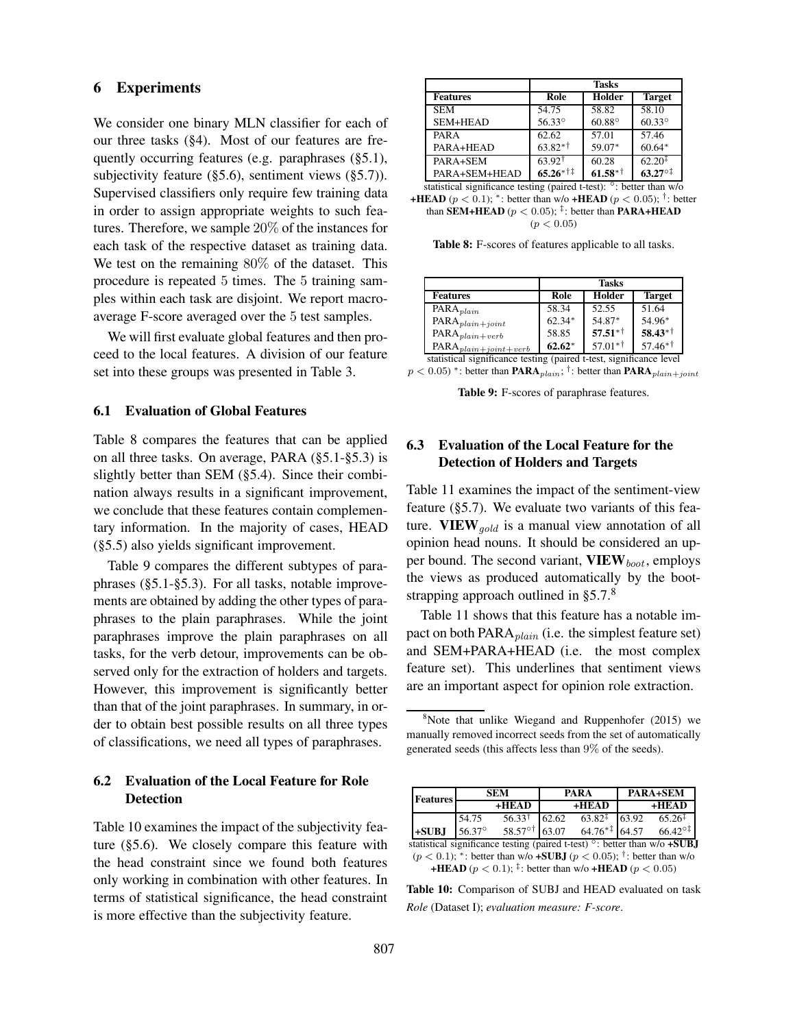#### 6 Experiments

We consider one binary MLN classifier for each of our three tasks (§4). Most of our features are frequently occurring features (e.g. paraphrases (§5.1), subjectivity feature  $(\S 5.6)$ , sentiment views  $(\S 5.7)$ . Supervised classifiers only require few training data in order to assign appropriate weights to such features. Therefore, we sample 20% of the instances for each task of the respective dataset as training data. We test on the remaining 80% of the dataset. This procedure is repeated 5 times. The 5 training samples within each task are disjoint. We report macroaverage F-score averaged over the 5 test samples.

We will first evaluate global features and then proceed to the local features. A division of our feature set into these groups was presented in Table 3.

#### 6.1 Evaluation of Global Features

Table 8 compares the features that can be applied on all three tasks. On average, PARA (§5.1-§5.3) is slightly better than SEM (§5.4). Since their combination always results in a significant improvement, we conclude that these features contain complementary information. In the majority of cases, HEAD (§5.5) also yields significant improvement.

Table 9 compares the different subtypes of paraphrases (§5.1-§5.3). For all tasks, notable improvements are obtained by adding the other types of paraphrases to the plain paraphrases. While the joint paraphrases improve the plain paraphrases on all tasks, for the verb detour, improvements can be observed only for the extraction of holders and targets. However, this improvement is significantly better than that of the joint paraphrases. In summary, in order to obtain best possible results on all three types of classifications, we need all types of paraphrases.

## 6.2 Evaluation of the Local Feature for Role **Detection**

Table 10 examines the impact of the subjectivity feature (§5.6). We closely compare this feature with the head constraint since we found both features only working in combination with other features. In terms of statistical significance, the head constraint is more effective than the subjectivity feature.

|                                                                               |                         | <b>Tasks</b>  |                 |  |  |  |  |
|-------------------------------------------------------------------------------|-------------------------|---------------|-----------------|--|--|--|--|
| <b>Features</b>                                                               | Role                    | Holder        | <b>Target</b>   |  |  |  |  |
| <b>SEM</b>                                                                    | 54.75                   | 58.82         | 58.10           |  |  |  |  |
| SEM+HEAD                                                                      | 56.33°                  | $60.88^\circ$ | $60.33^\circ$   |  |  |  |  |
| PARA                                                                          | 62.62                   | 57.01         | 57.46           |  |  |  |  |
| PARA+HEAD                                                                     | $63.82**$               | 59.07*        | $60.64*$        |  |  |  |  |
| PARA+SEM                                                                      | $63.92$ <sup>†</sup>    | 60.28         | $62.20^{+}$     |  |  |  |  |
| PARA+SEM+HEAD                                                                 | $65.26$ * <sup>†‡</sup> | $61.58**$     | $63.27^{\circ}$ |  |  |  |  |
| statistical significance testing (paired t-test): $\degree$ : better than w/o |                         |               |                 |  |  |  |  |

Table 8: F-scores of features applicable to all tasks.

|                                                                     | <b>Tasks</b> |           |                          |  |  |
|---------------------------------------------------------------------|--------------|-----------|--------------------------|--|--|
| <b>Features</b>                                                     | Role         | Holder    | <b>Target</b>            |  |  |
| $\overline{P}ARA_{plain}$                                           | 58.34        | 52.55     | 51.64                    |  |  |
| $\text{PARA}_{plain+joint}$                                         | $62.34*$     | 54.87*    | 54.96*                   |  |  |
| $\mathrm{PARA}_{\mathit{plain}+\mathit{verb}}$                      | 58.85        | $57.51**$ | $58.43**$                |  |  |
| $\text{PARA}_{plain+joint+verb}$                                    | $62.62*$     | $57.01**$ | $57.46^{*}$ <sup>†</sup> |  |  |
| statistical significance testing (paired t-test, significance level |              |           |                          |  |  |

 $p < 0.05)$  \*: better than  $\textbf{PARA}_{plain}$ ; †: better than  $\textbf{PARA}_{plain+joint}$ 

Table 9: F-scores of paraphrase features.

## 6.3 Evaluation of the Local Feature for the Detection of Holders and Targets

Table 11 examines the impact of the sentiment-view feature (§5.7). We evaluate two variants of this feature. VIEW  $_{qold}$  is a manual view annotation of all opinion head nouns. It should be considered an upper bound. The second variant,  $VIEW_{boot}$ , employs the views as produced automatically by the bootstrapping approach outlined in  $\S 5.7$ .<sup>8</sup>

Table 11 shows that this feature has a notable impact on both  $PARA<sub>plain</sub>$  (i.e. the simplest feature set) and SEM+PARA+HEAD (i.e. the most complex feature set). This underlines that sentiment views are an important aspect for opinion role extraction.

 $8$ Note that unlike Wiegand and Ruppenhofer (2015) we manually removed incorrect seeds from the set of automatically generated seeds (this affects less than 9% of the seeds).

| <b>Features</b>                                                           | <b>SEM</b> |                   | <b>PARA</b> |                          | <b>PARA+SEM</b> |                    |  |
|---------------------------------------------------------------------------|------------|-------------------|-------------|--------------------------|-----------------|--------------------|--|
|                                                                           |            | $+HEAD$           |             | $+HEAD$                  |                 | $+HEAD$            |  |
|                                                                           | 54.75      | $56.33^{\dagger}$ | 62.62       | $63.82^{\ddagger}$ 63.92 |                 | $65.26^{\ddagger}$ |  |
| $+SUBJ$                                                                   | 56.37°     | 58.57° † 63.07    |             | $64.76**$ 64.57          |                 | $66.42^{\circ}$    |  |
| statistical significance testing (paired t-test) °: better than w/o +SUBJ |            |                   |             |                          |                 |                    |  |

 $(p < 0.1)$ ; \*: better than w/o +**SUBJ**  $(p < 0.05)$ ; <sup>†</sup>: better than w/o +HEAD ( $p < 0.1$ ); <sup>‡</sup>: better than w/o +HEAD ( $p < 0.05$ )

Table 10: Comparison of SUBJ and HEAD evaluated on task *Role* (Dataset I); *evaluation measure: F-score*.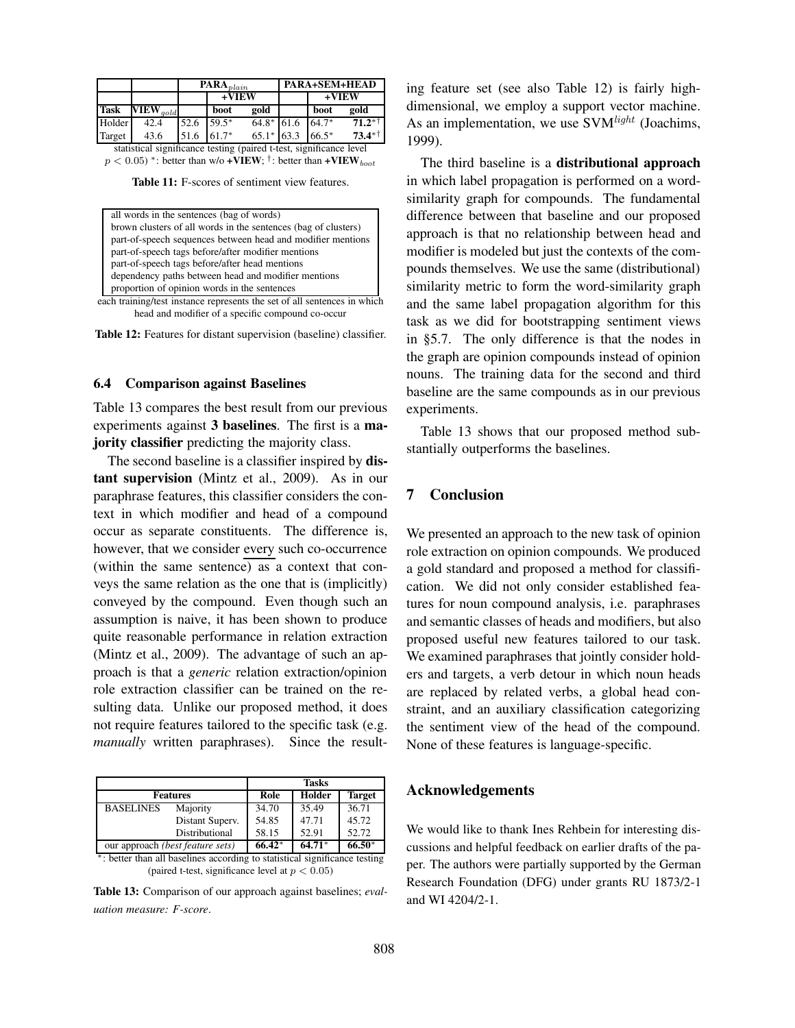|             |                                                                     |      | PARA <sub>plain</sub> |              |  |         | <b>PARA+SEM+HEAD</b> |  |
|-------------|---------------------------------------------------------------------|------|-----------------------|--------------|--|---------|----------------------|--|
|             |                                                                     |      | $+VIEW$               |              |  | +VIEW   |                      |  |
| <b>Task</b> | $\overline{\bf VIEW}_{gold}$                                        |      | boot                  | gold         |  | boot    | gold                 |  |
| Holder      | 42.4                                                                | 52.6 | $59.5*$               | $64.8*$ 61.6 |  | 64.7*   | $71.2**$             |  |
| Target      | 43.6                                                                | 51.6 | $61.7*$               | $65.1*$ 63.3 |  | $66.5*$ | $73.4**$             |  |
|             | statistical significance testing (paired t-test, significance level |      |                       |              |  |         |                      |  |

 $p < 0.05$ ) \*: better than w/o +VIEW; <sup>†</sup>: better than +VIEW<sub>boot</sub>

Table 11: F-scores of sentiment view features.

| all words in the sentences (bag of words)                                |  |
|--------------------------------------------------------------------------|--|
| brown clusters of all words in the sentences (bag of clusters)           |  |
| part-of-speech sequences between head and modifier mentions              |  |
| part-of-speech tags before/after modifier mentions                       |  |
| part-of-speech tags before/after head mentions                           |  |
| dependency paths between head and modifier mentions                      |  |
| proportion of opinion words in the sentences                             |  |
| each training/test instance represents the set of all sentences in which |  |

head and modifier of a specific compound co-occur

Table 12: Features for distant supervision (baseline) classifier.

#### 6.4 Comparison against Baselines

Table 13 compares the best result from our previous experiments against 3 baselines. The first is a majority classifier predicting the majority class.

The second baseline is a classifier inspired by **dis**tant supervision (Mintz et al., 2009). As in our paraphrase features, this classifier considers the context in which modifier and head of a compound occur as separate constituents. The difference is, however, that we consider every such co-occurrence (within the same sentence) as a context that conveys the same relation as the one that is (implicitly) conveyed by the compound. Even though such an assumption is naive, it has been shown to produce quite reasonable performance in relation extraction (Mintz et al., 2009). The advantage of such an approach is that a *generic* relation extraction/opinion role extraction classifier can be trained on the resulting data. Unlike our proposed method, it does not require features tailored to the specific task (e.g. *manually* written paraphrases). Since the result-

|                                                                            |                 | <b>Tasks</b> |          |               |
|----------------------------------------------------------------------------|-----------------|--------------|----------|---------------|
| <b>Features</b>                                                            |                 | Role         | Holder   | <b>Target</b> |
| <b>BASELINES</b>                                                           | Majority        | 34.70        | 35.49    | 36.71         |
|                                                                            | Distant Superv. | 54.85        | 47.71    | 45.72         |
|                                                                            | Distributional  | 58.15        | 52.91    | 52.72         |
| our approach (best feature sets)                                           |                 | $66.42*$     | $64.71*$ | $66.50*$      |
| *: better than all baselines according to statistical significance testing |                 |              |          |               |
| (paired t-test, significance level at $p < 0.05$ )                         |                 |              |          |               |

Table 13: Comparison of our approach against baselines; *evaluation measure: F-score*.

ing feature set (see also Table 12) is fairly highdimensional, we employ a support vector machine. As an implementation, we use  $SVM<sup>light</sup>$  (Joachims, 1999).

The third baseline is a distributional approach in which label propagation is performed on a wordsimilarity graph for compounds. The fundamental difference between that baseline and our proposed approach is that no relationship between head and modifier is modeled but just the contexts of the compounds themselves. We use the same (distributional) similarity metric to form the word-similarity graph and the same label propagation algorithm for this task as we did for bootstrapping sentiment views in §5.7. The only difference is that the nodes in the graph are opinion compounds instead of opinion nouns. The training data for the second and third baseline are the same compounds as in our previous experiments.

Table 13 shows that our proposed method substantially outperforms the baselines.

# 7 Conclusion

We presented an approach to the new task of opinion role extraction on opinion compounds. We produced a gold standard and proposed a method for classification. We did not only consider established features for noun compound analysis, i.e. paraphrases and semantic classes of heads and modifiers, but also proposed useful new features tailored to our task. We examined paraphrases that jointly consider holders and targets, a verb detour in which noun heads are replaced by related verbs, a global head constraint, and an auxiliary classification categorizing the sentiment view of the head of the compound. None of these features is language-specific.

#### Acknowledgements

We would like to thank Ines Rehbein for interesting discussions and helpful feedback on earlier drafts of the paper. The authors were partially supported by the German Research Foundation (DFG) under grants RU 1873/2-1 and WI 4204/2-1.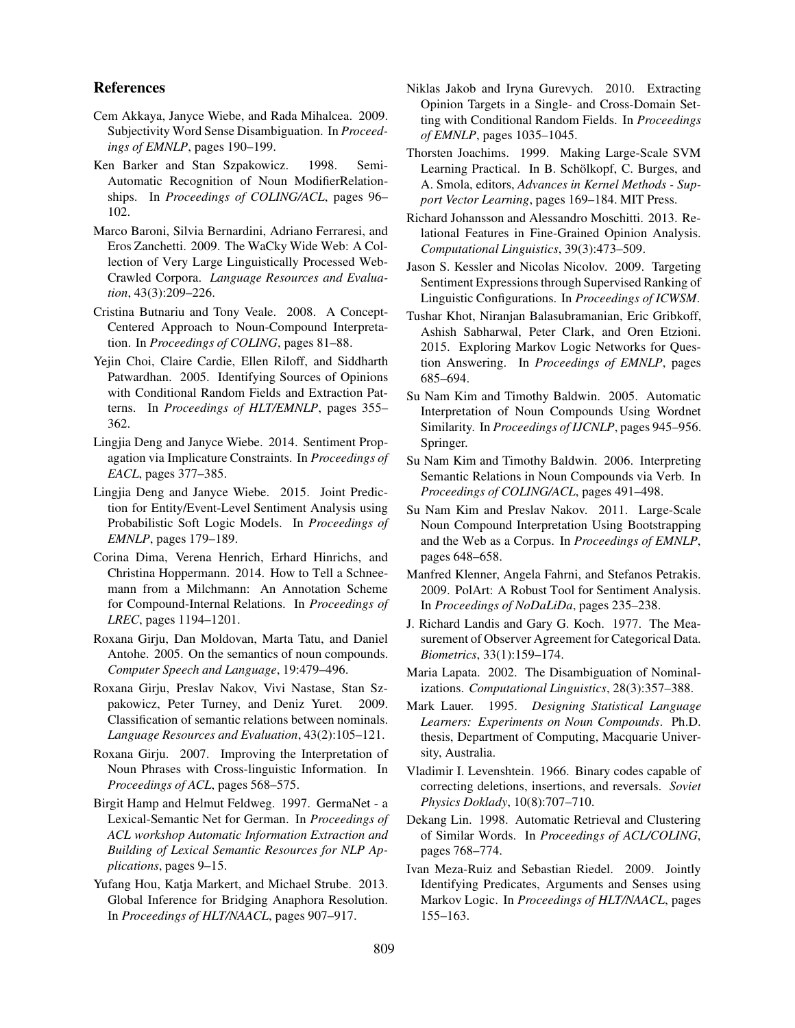#### References

- Cem Akkaya, Janyce Wiebe, and Rada Mihalcea. 2009. Subjectivity Word Sense Disambiguation. In *Proceedings of EMNLP*, pages 190–199.
- Ken Barker and Stan Szpakowicz. 1998. Semi-Automatic Recognition of Noun ModifierRelationships. In *Proceedings of COLING/ACL*, pages 96– 102.
- Marco Baroni, Silvia Bernardini, Adriano Ferraresi, and Eros Zanchetti. 2009. The WaCky Wide Web: A Collection of Very Large Linguistically Processed Web-Crawled Corpora. *Language Resources and Evaluation*, 43(3):209–226.
- Cristina Butnariu and Tony Veale. 2008. A Concept-Centered Approach to Noun-Compound Interpretation. In *Proceedings of COLING*, pages 81–88.
- Yejin Choi, Claire Cardie, Ellen Riloff, and Siddharth Patwardhan. 2005. Identifying Sources of Opinions with Conditional Random Fields and Extraction Patterns. In *Proceedings of HLT/EMNLP*, pages 355– 362.
- Lingjia Deng and Janyce Wiebe. 2014. Sentiment Propagation via Implicature Constraints. In *Proceedings of EACL*, pages 377–385.
- Lingjia Deng and Janyce Wiebe. 2015. Joint Prediction for Entity/Event-Level Sentiment Analysis using Probabilistic Soft Logic Models. In *Proceedings of EMNLP*, pages 179–189.
- Corina Dima, Verena Henrich, Erhard Hinrichs, and Christina Hoppermann. 2014. How to Tell a Schneemann from a Milchmann: An Annotation Scheme for Compound-Internal Relations. In *Proceedings of LREC*, pages 1194–1201.
- Roxana Girju, Dan Moldovan, Marta Tatu, and Daniel Antohe. 2005. On the semantics of noun compounds. *Computer Speech and Language*, 19:479–496.
- Roxana Girju, Preslav Nakov, Vivi Nastase, Stan Szpakowicz, Peter Turney, and Deniz Yuret. 2009. Classification of semantic relations between nominals. *Language Resources and Evaluation*, 43(2):105–121.
- Roxana Girju. 2007. Improving the Interpretation of Noun Phrases with Cross-linguistic Information. In *Proceedings of ACL*, pages 568–575.
- Birgit Hamp and Helmut Feldweg. 1997. GermaNet a Lexical-Semantic Net for German. In *Proceedings of ACL workshop Automatic Information Extraction and Building of Lexical Semantic Resources for NLP Applications*, pages 9–15.
- Yufang Hou, Katja Markert, and Michael Strube. 2013. Global Inference for Bridging Anaphora Resolution. In *Proceedings of HLT/NAACL*, pages 907–917.
- Niklas Jakob and Iryna Gurevych. 2010. Extracting Opinion Targets in a Single- and Cross-Domain Setting with Conditional Random Fields. In *Proceedings of EMNLP*, pages 1035–1045.
- Thorsten Joachims. 1999. Making Large-Scale SVM Learning Practical. In B. Schölkopf, C. Burges, and A. Smola, editors, *Advances in Kernel Methods - Support Vector Learning*, pages 169–184. MIT Press.
- Richard Johansson and Alessandro Moschitti. 2013. Relational Features in Fine-Grained Opinion Analysis. *Computational Linguistics*, 39(3):473–509.
- Jason S. Kessler and Nicolas Nicolov. 2009. Targeting Sentiment Expressions through Supervised Ranking of Linguistic Configurations. In *Proceedings of ICWSM*.
- Tushar Khot, Niranjan Balasubramanian, Eric Gribkoff, Ashish Sabharwal, Peter Clark, and Oren Etzioni. 2015. Exploring Markov Logic Networks for Question Answering. In *Proceedings of EMNLP*, pages 685–694.
- Su Nam Kim and Timothy Baldwin. 2005. Automatic Interpretation of Noun Compounds Using Wordnet Similarity. In *Proceedings of IJCNLP*, pages 945–956. Springer.
- Su Nam Kim and Timothy Baldwin. 2006. Interpreting Semantic Relations in Noun Compounds via Verb. In *Proceedings of COLING/ACL*, pages 491–498.
- Su Nam Kim and Preslav Nakov. 2011. Large-Scale Noun Compound Interpretation Using Bootstrapping and the Web as a Corpus. In *Proceedings of EMNLP*, pages 648–658.
- Manfred Klenner, Angela Fahrni, and Stefanos Petrakis. 2009. PolArt: A Robust Tool for Sentiment Analysis. In *Proceedings of NoDaLiDa*, pages 235–238.
- J. Richard Landis and Gary G. Koch. 1977. The Measurement of Observer Agreement for Categorical Data. *Biometrics*, 33(1):159–174.
- Maria Lapata. 2002. The Disambiguation of Nominalizations. *Computational Linguistics*, 28(3):357–388.
- Mark Lauer. 1995. *Designing Statistical Language Learners: Experiments on Noun Compounds*. Ph.D. thesis, Department of Computing, Macquarie University, Australia.
- Vladimir I. Levenshtein. 1966. Binary codes capable of correcting deletions, insertions, and reversals. *Soviet Physics Doklady*, 10(8):707–710.
- Dekang Lin. 1998. Automatic Retrieval and Clustering of Similar Words. In *Proceedings of ACL/COLING*, pages 768–774.
- Ivan Meza-Ruiz and Sebastian Riedel. 2009. Jointly Identifying Predicates, Arguments and Senses using Markov Logic. In *Proceedings of HLT/NAACL*, pages 155–163.